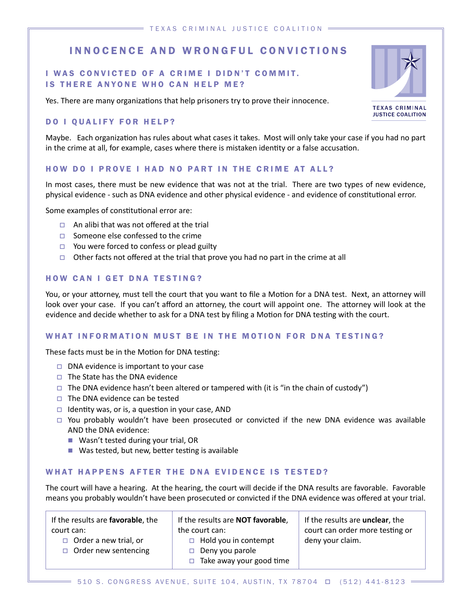# INNOCENCE AND WRONGFUL CONVICTIONS

## I WAS CONVICTED OF A CRIME I DIDN'T COMMIT. IS THERE ANYONE WHO CAN HELP ME?

Yes. There are many organizations that help prisoners try to prove their innocence.

#### DO I QUALIFY FOR HELP?

Maybe. Each organization has rules about what cases it takes. Most will only take your case if you had no part in the crime at all, for example, cases where there is mistaken identity or a false accusation.

#### HOW DO I PROVE I HAD NO PART IN THE CRIME AT ALL?

In most cases, there must be new evidence that was not at the trial. There are two types of new evidence, physical evidence - such as DNA evidence and other physical evidence - and evidence of constitutional error.

Some examples of constitutional error are:

- $\Box$  An alibi that was not offered at the trial
- $\Box$  Someone else confessed to the crime
- $\Box$  You were forced to confess or plead guilty
- Other facts not offered at the trial that prove you had no part in the crime at all

#### HOW CAN I GET DNA TESTING?

You, or your attorney, must tell the court that you want to file a Motion for a DNA test. Next, an attorney will look over your case. If you can't afford an attorney, the court will appoint one. The attorney will look at the evidence and decide whether to ask for a DNA test by filing a Motion for DNA testing with the court.

#### WHAT INFORMATION MUST BE IN THE MOTION FOR DNA TESTING?

These facts must be in the Motion for DNA testing:

- $\Box$  DNA evidence is important to your case
- $\Box$  The State has the DNA evidence
- $\Box$  The DNA evidence hasn't been altered or tampered with (it is "in the chain of custody")
- $\Box$  The DNA evidence can be tested
- $\Box$  Identity was, or is, a question in your case, AND
- $\Box$  You probably wouldn't have been prosecuted or convicted if the new DNA evidence was available AND the DNA evidence:
	- Wasn't tested during your trial, OR
	- $\blacksquare$  Was tested, but new, better testing is available

#### WHAT HAPPENS AFTER THE DNA EVIDENCE IS TESTED?

The court will have a hearing. At the hearing, the court will decide if the DNA results are favorable. Favorable means you probably wouldn't have been prosecuted or convicted if the DNA evidence was offered at your trial.

If the results are **favorable**, the court can:  $\Box$  Order a new trial, or If the results are **NOT favorable**, the court can:  $\Box$  Hold you in contempt deny your claim.

- $\Box$  Order new sentencing
- $\Box$  Deny you parole
	- $\Box$  Take away your good time
- If the results are **unclear**, the court can order more testing or

**TEXAS CRIMINAL** 



**JUSTICE COALITION**